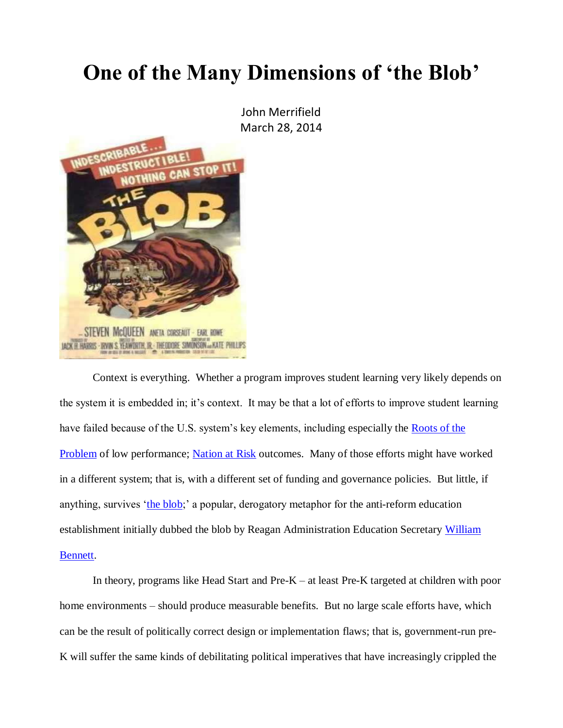## **One of the Many Dimensions of 'the Blob'**

John Merrifield March 28, 2014



Context is everything. Whether a program improves student learning very likely depends on the system it is embedded in; it's context. It may be that a lot of efforts to improve student learning have failed because of the U.S. system's key elements, including especially the [Roots of the](http://nebula.wsimg.com/de7a505e69a5da1955afc3fa273fe806?AccessKeyId=DA21FC8554A675E9CF7B&disposition=0&alloworigin=1)  **[Problem](http://nebula.wsimg.com/de7a505e69a5da1955afc3fa273fe806?AccessKeyId=DA21FC8554A675E9CF7B&disposition=0&alloworigin=1)** of low performance; **Nation at Risk** outcomes. Many of those efforts might have worked in a different system; that is, with a different set of funding and governance policies. But little, if anything, survives ['the blob;](http://www.edreform.com/2012/09/what-it-is/)' a popular, derogatory metaphor for the anti-reform education establishment initially dubbed the blob by Reagan Administration Education Secretary William [Bennett.](http://en.wikipedia.org/wiki/William_Bennett)

In theory, programs like Head Start and Pre-K – at least Pre-K targeted at children with poor home environments – should produce measurable benefits. But no large scale efforts have, which can be the result of politically correct design or implementation flaws; that is, government-run pre-K will suffer the same kinds of debilitating political imperatives that have increasingly crippled the